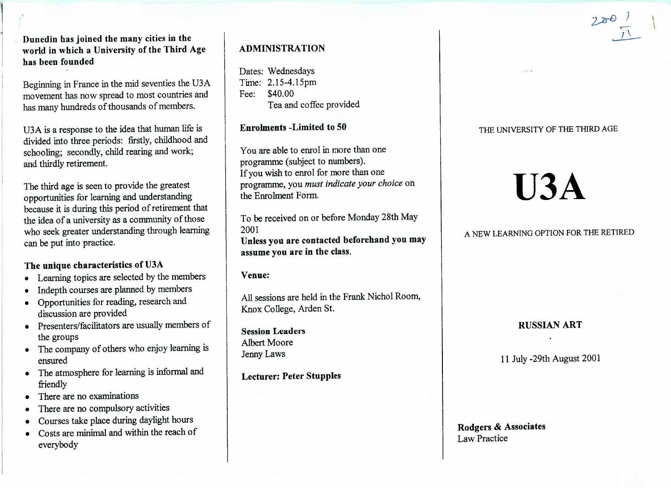Duncdin **has joined the many cities in the world in which a University of the Third Agehas been founded**

Beginning in France in the mid seventies the U3A movement has now spread to most countries andhas many hundreds of thousands of members.

USA is a response to the idea that human life isivided into three periods: firstly, childhood and schooling; secondly, child rearing and work;and thirdly retirement.

The third age is seen to provide the greatest opportunities for learning and understanding because it is during this period of retirement thatthe idea of a university as a community of those who seek greater understanding through learningcan be put into practice.

# **The unique characteristics of U3A**

- Learning topics are selected by the members
- Indepth courses are planned by members
- Opportunities for reading, research anddiscussion are provided
- Presenters/facilitators are usually members ofthe groups
- The company of others who enjoy learning isensured
- The atmosphere for learning is informal andfriendly
- There are no examinations
- There are no compulsory activities
- Courses take place during daylight hours
- Costs are minimal and within the reach ofeverybody

# **ADMINISTRATION**

Dates: Wednesdays $ime: 2.15-4.15 \text{pm}$ Fee: \$40.00ea and coffee provided

**Enrolments -Limited to 50**

You are able to enrol in more than oneprogramme (subject to numbers).f you wish to enrol for more than one programme, you *must indicate your choice* onthe Enrolment Form.

To be received on or before Monday 28th May2001 **Unless you are contacted beforehand you mayassume you are in the class.**

**Venue:**

All sessions are held in the Frank Nichol Room,Knox College, Arden St.

**Session Leaders**Albert MooreJenny Laws

**Lecturer: Peter Stupples**

# THE UNIVERSITY OF THE THIRD AGE

# **U3A**

# A NEW LEARNING OPTION FOR THE RETIRED

# **RUSSIAN ART**

11 July-29th August 2001

# **Rodgers & Associates**Law Practice